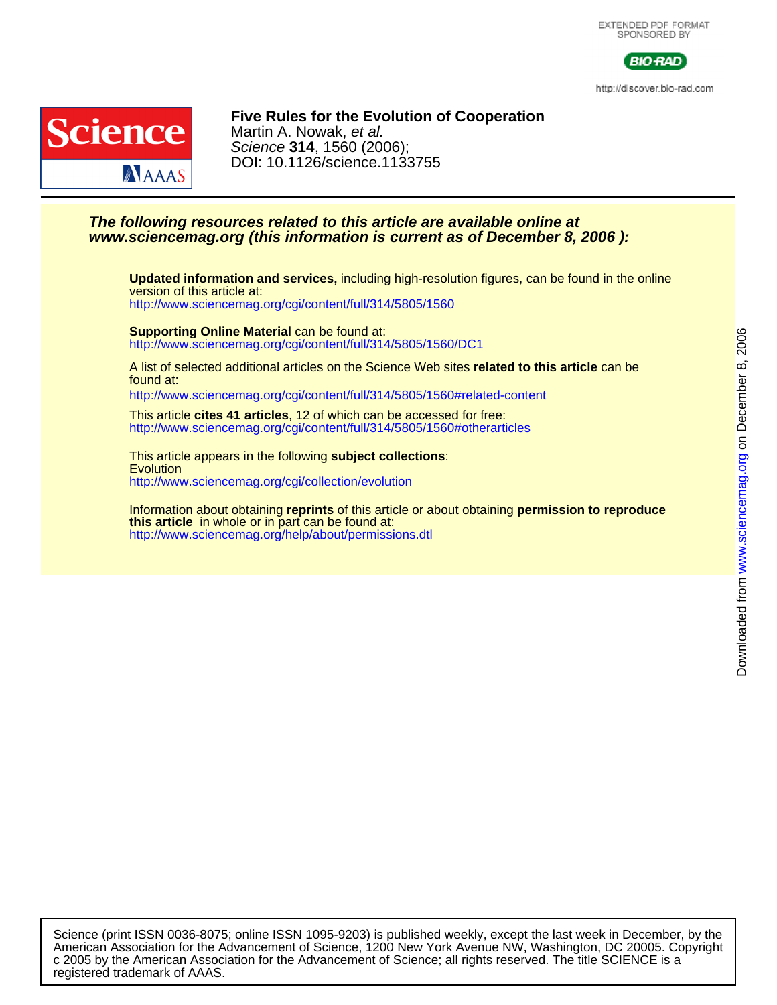

http://discover.bio-rad.com



# Martin A. Nowak, et al. **Five Rules for the Evolution of Cooperation**

DOI: 10.1126/science.1133755 Science **314**, 1560 (2006);

# **www.sciencemag.org (this information is current as of December 8, 2006 ): The following resources related to this article are available online at**

<http://www.sciencemag.org/cgi/content/full/314/5805/1560> version of this article at: **Updated information and services,** including high-resolution figures, can be found in the online

<http://www.sciencemag.org/cgi/content/full/314/5805/1560/DC1> **Supporting Online Material** can be found at:

found at: A list of selected additional articles on the Science Web sites **related to this article** can be

<http://www.sciencemag.org/cgi/content/full/314/5805/1560#related-content>

<http://www.sciencemag.org/cgi/content/full/314/5805/1560#otherarticles> This article **cites 41 articles**, 12 of which can be accessed for free:

<http://www.sciencemag.org/cgi/collection/evolution> **Evolution** This article appears in the following **subject collections**:

[http://www.sciencemag.org/help/about/permissions.dtl](http://www.sciencemag.org/misc/reprints.shtml) **this article** in whole or in part can be found at: Information about obtaining **reprints** of this article or about obtaining **permission to reproduce**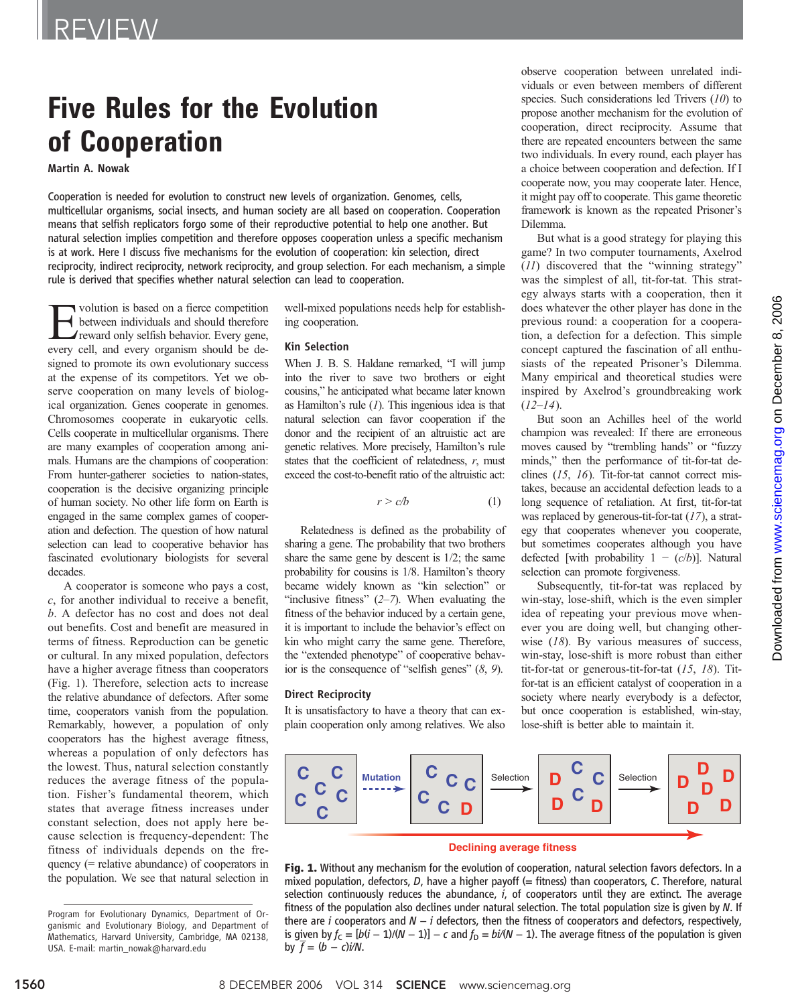# Five Rules for the Evolution of Cooperation

Martin A. Nowak

Cooperation is needed for evolution to construct new levels of organization. Genomes, cells, multicellular organisms, social insects, and human society are all based on cooperation. Cooperation means that selfish replicators forgo some of their reproductive potential to help one another. But natural selection implies competition and therefore opposes cooperation unless a specific mechanism is at work. Here I discuss five mechanisms for the evolution of cooperation: kin selection, direct reciprocity, indirect reciprocity, network reciprocity, and group selection. For each mechanism, a simple rule is derived that specifies whether natural selection can lead to cooperation.

**EV** volution is based on a fierce competition<br>between individuals and should therefore<br>reward only selfish behavior. Every gene,<br>every cell, and every organism should be debetween individuals and should therefore every cell, and every organism should be designed to promote its own evolutionary success at the expense of its competitors. Yet we observe cooperation on many levels of biological organization. Genes cooperate in genomes. Chromosomes cooperate in eukaryotic cells. Cells cooperate in multicellular organisms. There are many examples of cooperation among animals. Humans are the champions of cooperation: From hunter-gatherer societies to nation-states, cooperation is the decisive organizing principle of human society. No other life form on Earth is engaged in the same complex games of cooperation and defection. The question of how natural selection can lead to cooperative behavior has fascinated evolutionary biologists for several decades.

A cooperator is someone who pays a cost, c, for another individual to receive a benefit, b. A defector has no cost and does not deal out benefits. Cost and benefit are measured in terms of fitness. Reproduction can be genetic or cultural. In any mixed population, defectors have a higher average fitness than cooperators (Fig. 1). Therefore, selection acts to increase the relative abundance of defectors. After some time, cooperators vanish from the population. Remarkably, however, a population of only cooperators has the highest average fitness, whereas a population of only defectors has the lowest. Thus, natural selection constantly reduces the average fitness of the population. Fisher's fundamental theorem, which states that average fitness increases under constant selection, does not apply here because selection is frequency-dependent: The fitness of individuals depends on the frequency (= relative abundance) of cooperators in the population. We see that natural selection in well-mixed populations needs help for establishing cooperation.

## Kin Selection

When J. B. S. Haldane remarked, "I will jump into the river to save two brothers or eight cousins," he anticipated what became later known as Hamilton's rule  $(I)$ . This ingenious idea is that natural selection can favor cooperation if the donor and the recipient of an altruistic act are genetic relatives. More precisely, Hamilton's rule states that the coefficient of relatedness,  $r$ , must exceed the cost-to-benefit ratio of the altruistic act:

$$
r > c/b \tag{1}
$$

Relatedness is defined as the probability of sharing a gene. The probability that two brothers share the same gene by descent is 1/2; the same probability for cousins is 1/8. Hamilton's theory became widely known as "kin selection" or "inclusive fitness"  $(2-7)$ . When evaluating the fitness of the behavior induced by a certain gene, it is important to include the behavior's effect on kin who might carry the same gene. Therefore, the "extended phenotype" of cooperative behavior is the consequence of "selfish genes"  $(8, 9)$ .

## Direct Reciprocity

It is unsatisfactory to have a theory that can explain cooperation only among relatives. We also observe cooperation between unrelated individuals or even between members of different species. Such considerations led Trivers (10) to propose another mechanism for the evolution of cooperation, direct reciprocity. Assume that there are repeated encounters between the same two individuals. In every round, each player has a choice between cooperation and defection. If I cooperate now, you may cooperate later. Hence, it might pay off to cooperate. This game theoretic framework is known as the repeated Prisoner's Dilemma.

But what is a good strategy for playing this game? In two computer tournaments, Axelrod (11) discovered that the "winning strategy" was the simplest of all, tit-for-tat. This strategy always starts with a cooperation, then it does whatever the other player has done in the previous round: a cooperation for a cooperation, a defection for a defection. This simple concept captured the fascination of all enthusiasts of the repeated Prisoner's Dilemma. Many empirical and theoretical studies were inspired by Axelrod's groundbreaking work  $(12–14)$ .

But soon an Achilles heel of the world champion was revealed: If there are erroneous moves caused by "trembling hands" or "fuzzy minds," then the performance of tit-for-tat declines (15, 16). Tit-for-tat cannot correct mistakes, because an accidental defection leads to a long sequence of retaliation. At first, tit-for-tat was replaced by generous-tit-for-tat  $(17)$ , a strategy that cooperates whenever you cooperate, but sometimes cooperates although you have defected [with probability  $1 - (c/b)$ ]. Natural selection can promote forgiveness.

Subsequently, tit-for-tat was replaced by win-stay, lose-shift, which is the even simpler idea of repeating your previous move whenever you are doing well, but changing otherwise  $(18)$ . By various measures of success, win-stay, lose-shift is more robust than either tit-for-tat or generous-tit-for-tat  $(15, 18)$ . Titfor-tat is an efficient catalyst of cooperation in a society where nearly everybody is a defector, but once cooperation is established, win-stay, lose-shift is better able to maintain it.



#### **Declining average fitness**

Fig. 1. Without any mechanism for the evolution of cooperation, natural selection favors defectors. In a mixed population, defectors,  $D$ , have a higher payoff  $(=$  fitness) than cooperators,  $C$ . Therefore, natural selection continuously reduces the abundance,  $i$ , of cooperators until they are extinct. The average fitness of the population also declines under natural selection. The total population size is given by N. If there are *i* cooperators and  $N - i$  defectors, then the fitness of cooperators and defectors, respectively, is given by  $f_C = [b(i-1)/(N-1)] - c$  and  $f_D = bi/(N-1)$ . The average fitness of the population is given by  $\overline{f} = (b - c)i/N$ .

Program for Evolutionary Dynamics, Department of Organismic and Evolutionary Biology, and Department of Mathematics, Harvard University, Cambridge, MA 02138, USA. E-mail: martin\_nowak@harvard.edu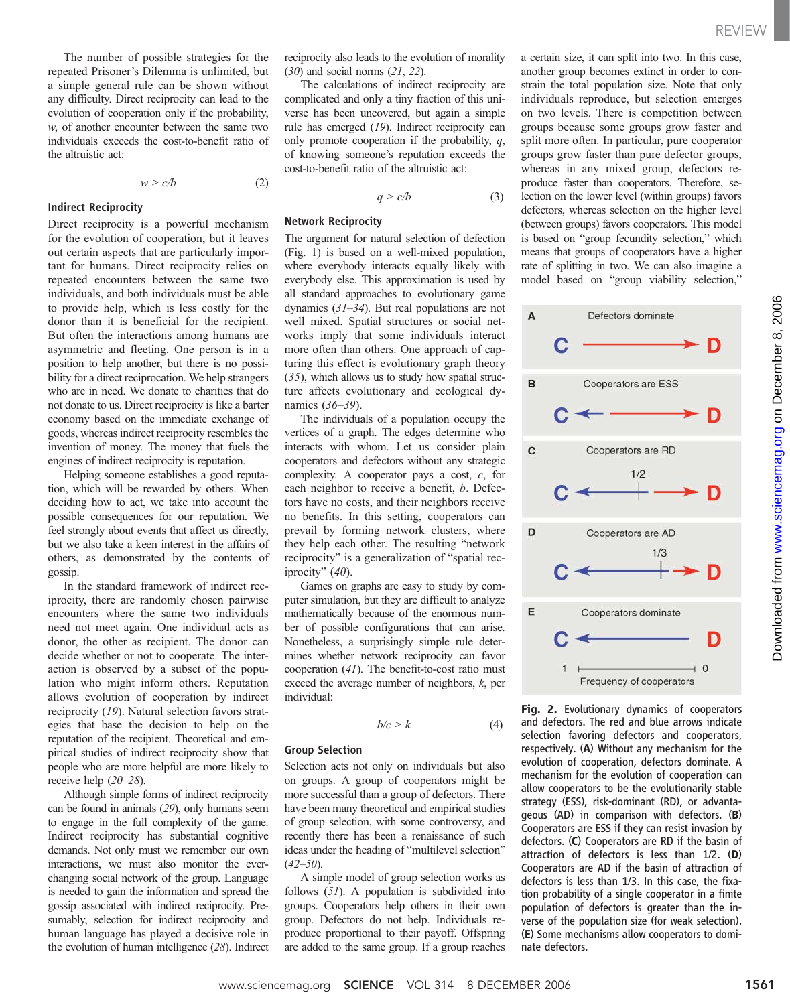The number of possible strategies for the repeated Prisoner's Dilemma is unlimited, but a simple general rule can be shown without any difficulty. Direct reciprocity can lead to the evolution of cooperation only if the probability, w, of another encounter between the same two individuals exceeds the cost-to-benefit ratio of the altruistic act:

 $w > c/b$  (2)

# Indirect Reciprocity

Direct reciprocity is a powerful mechanism for the evolution of cooperation, but it leaves out certain aspects that are particularly important for humans. Direct reciprocity relies on repeated encounters between the same two individuals, and both individuals must be able to provide help, which is less costly for the donor than it is beneficial for the recipient. But often the interactions among humans are asymmetric and fleeting. One person is in a position to help another, but there is no possibility for a direct reciprocation. We help strangers who are in need. We donate to charities that do not donate to us. Direct reciprocity is like a barter economy based on the immediate exchange of goods, whereas indirect reciprocity resembles the invention of money. The money that fuels the engines of indirect reciprocity is reputation.

Helping someone establishes a good reputation, which will be rewarded by others. When deciding how to act, we take into account the possible consequences for our reputation. We feel strongly about events that affect us directly, but we also take a keen interest in the affairs of others, as demonstrated by the contents of gossip.

In the standard framework of indirect reciprocity, there are randomly chosen pairwise encounters where the same two individuals need not meet again. One individual acts as donor, the other as recipient. The donor can decide whether or not to cooperate. The interaction is observed by a subset of the population who might inform others. Reputation allows evolution of cooperation by indirect reciprocity (19). Natural selection favors strategies that base the decision to help on the reputation of the recipient. Theoretical and empirical studies of indirect reciprocity show that people who are more helpful are more likely to receive help (20–28).

Although simple forms of indirect reciprocity can be found in animals (29), only humans seem to engage in the full complexity of the game. Indirect reciprocity has substantial cognitive demands. Not only must we remember our own interactions, we must also monitor the everchanging social network of the group. Language is needed to gain the information and spread the gossip associated with indirect reciprocity. Presumably, selection for indirect reciprocity and human language has played a decisive role in the evolution of human intelligence (28). Indirect reciprocity also leads to the evolution of morality (30) and social norms (21, 22).

The calculations of indirect reciprocity are complicated and only a tiny fraction of this universe has been uncovered, but again a simple rule has emerged (19). Indirect reciprocity can only promote cooperation if the probability,  $q$ , of knowing someone's reputation exceeds the cost-to-benefit ratio of the altruistic act:

 $q > c/b$  (3)

#### Network Reciprocity

The argument for natural selection of defection (Fig. 1) is based on a well-mixed population, where everybody interacts equally likely with everybody else. This approximation is used by all standard approaches to evolutionary game dynamics (31–34). But real populations are not well mixed. Spatial structures or social networks imply that some individuals interact more often than others. One approach of capturing this effect is evolutionary graph theory (35), which allows us to study how spatial structure affects evolutionary and ecological dynamics (36–39).

The individuals of a population occupy the vertices of a graph. The edges determine who interacts with whom. Let us consider plain cooperators and defectors without any strategic complexity. A cooperator pays a cost, c, for each neighbor to receive a benefit, b. Defectors have no costs, and their neighbors receive no benefits. In this setting, cooperators can prevail by forming network clusters, where they help each other. The resulting "network reciprocity" is a generalization of "spatial reciprocity" (40).

Games on graphs are easy to study by computer simulation, but they are difficult to analyze mathematically because of the enormous number of possible configurations that can arise. Nonetheless, a surprisingly simple rule determines whether network reciprocity can favor cooperation (41). The benefit-to-cost ratio must exceed the average number of neighbors, k, per individual:

$$
b/c \geq k
$$

 $(4)$ 

#### Group Selection

Selection acts not only on individuals but also on groups. A group of cooperators might be more successful than a group of defectors. There have been many theoretical and empirical studies of group selection, with some controversy, and recently there has been a renaissance of such ideas under the heading of "multilevel selection"  $(42 - 50)$ .

A simple model of group selection works as follows  $(51)$ . A population is subdivided into groups. Cooperators help others in their own group. Defectors do not help. Individuals reproduce proportional to their payoff. Offspring are added to the same group. If a group reaches a certain size, it can split into two. In this case, another group becomes extinct in order to constrain the total population size. Note that only individuals reproduce, but selection emerges on two levels. There is competition between groups because some groups grow faster and split more often. In particular, pure cooperator groups grow faster than pure defector groups, whereas in any mixed group, defectors reproduce faster than cooperators. Therefore, selection on the lower level (within groups) favors defectors, whereas selection on the higher level (between groups) favors cooperators. This model is based on "group fecundity selection," which means that groups of cooperators have a higher rate of splitting in two. We can also imagine a model based on "group viability selection,"



REVIEW

Fig. 2. Evolutionary dynamics of cooperators and defectors. The red and blue arrows indicate selection favoring defectors and cooperators, respectively. (A) Without any mechanism for the evolution of cooperation, defectors dominate. A mechanism for the evolution of cooperation can allow cooperators to be the evolutionarily stable strategy (ESS), risk-dominant (RD), or advantageous (AD) in comparison with defectors. (B) Cooperators are ESS if they can resist invasion by defectors. (C) Cooperators are RD if the basin of attraction of defectors is less than 1/2. (D) Cooperators are AD if the basin of attraction of defectors is less than 1/3. In this case, the fixation probability of a single cooperator in a finite population of defectors is greater than the inverse of the population size (for weak selection). (E) Some mechanisms allow cooperators to dominate defectors.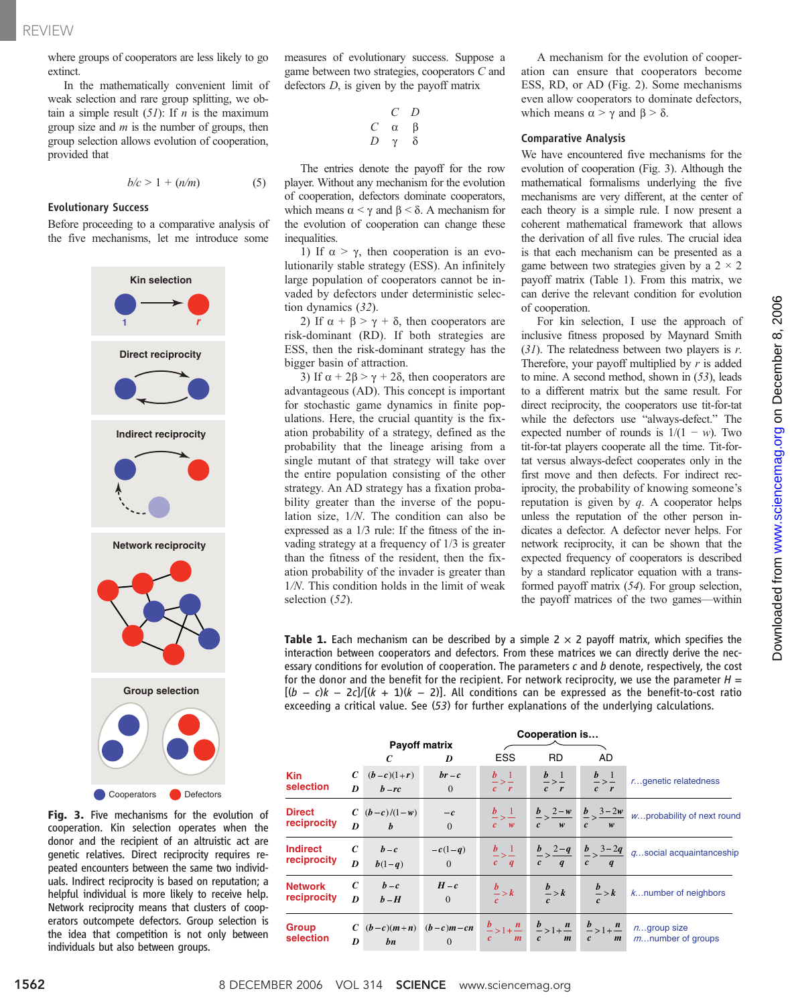where groups of cooperators are less likely to go extinct.

In the mathematically convenient limit of weak selection and rare group splitting, we obtain a simple result  $(51)$ : If *n* is the maximum group size and  $m$  is the number of groups, then group selection allows evolution of cooperation, provided that

$$
b/c > 1 + (n/m) \tag{5}
$$

## Evolutionary Success

Before proceeding to a comparative analysis of the five mechanisms, let me introduce some



Fig. 3. Five mechanisms for the evolution of cooperation. Kin selection operates when the donor and the recipient of an altruistic act are genetic relatives. Direct reciprocity requires repeated encounters between the same two individuals. Indirect reciprocity is based on reputation; a helpful individual is more likely to receive help. Network reciprocity means that clusters of cooperators outcompete defectors. Group selection is the idea that competition is not only between individuals but also between groups.

measures of evolutionary success. Suppose a game between two strategies, cooperators C and defectors  $D$ , is given by the payoff matrix

$$
\begin{array}{ccc}\nC & D \\
C & \alpha & \beta \\
D & \gamma & \delta\n\end{array}
$$

The entries denote the payoff for the row player. Without any mechanism for the evolution of cooperation, defectors dominate cooperators, which means  $\alpha < \gamma$  and  $\beta < \delta$ . A mechanism for the evolution of cooperation can change these inequalities.

1) If  $\alpha > \gamma$ , then cooperation is an evolutionarily stable strategy (ESS). An infinitely large population of cooperators cannot be invaded by defectors under deterministic selection dynamics (32).

2) If  $\alpha + \beta > \gamma + \delta$ , then cooperators are risk-dominant (RD). If both strategies are ESS, then the risk-dominant strategy has the bigger basin of attraction.

3) If  $\alpha + 2\beta > \gamma + 2\delta$ , then cooperators are advantageous (AD). This concept is important for stochastic game dynamics in finite populations. Here, the crucial quantity is the fixation probability of a strategy, defined as the probability that the lineage arising from a single mutant of that strategy will take over the entire population consisting of the other strategy. An AD strategy has a fixation probability greater than the inverse of the population size, 1/N. The condition can also be expressed as a 1/3 rule: If the fitness of the invading strategy at a frequency of 1/3 is greater than the fitness of the resident, then the fixation probability of the invader is greater than 1/N. This condition holds in the limit of weak selection (52).

A mechanism for the evolution of cooperation can ensure that cooperators become ESS, RD, or AD (Fig. 2). Some mechanisms even allow cooperators to dominate defectors, which means  $\alpha > \gamma$  and  $\beta > \delta$ .

#### Comparative Analysis

We have encountered five mechanisms for the evolution of cooperation (Fig. 3). Although the mathematical formalisms underlying the five mechanisms are very different, at the center of each theory is a simple rule. I now present a coherent mathematical framework that allows the derivation of all five rules. The crucial idea is that each mechanism can be presented as a game between two strategies given by a  $2 \times 2$ payoff matrix (Table 1). From this matrix, we can derive the relevant condition for evolution of cooperation.

For kin selection, I use the approach of inclusive fitness proposed by Maynard Smith  $(31)$ . The relatedness between two players is r. Therefore, your payoff multiplied by  $r$  is added to mine. A second method, shown in (53), leads to a different matrix but the same result. For direct reciprocity, the cooperators use tit-for-tat while the defectors use "always-defect." The expected number of rounds is  $1/(1 - w)$ . Two tit-for-tat players cooperate all the time. Tit-fortat versus always-defect cooperates only in the first move and then defects. For indirect reciprocity, the probability of knowing someone's reputation is given by  $q$ . A cooperator helps unless the reputation of the other person indicates a defector. A defector never helps. For network reciprocity, it can be shown that the expected frequency of cooperators is described by a standard replicator equation with a transformed payoff matrix (54). For group selection, the payoff matrices of the two games—within

www.sciencemag.orgon December 8, 2006 Downloaded from www.sciencemag.org on December 8, 2006 Downloaded from

**Table 1.** Each mechanism can be described by a simple  $2 \times 2$  payoff matrix, which specifies the interaction between cooperators and defectors. From these matrices we can directly derive the necessary conditions for evolution of cooperation. The parameters  $c$  and  $b$  denote, respectively, the cost for the donor and the benefit for the recipient. For network reciprocity, we use the parameter  $H =$  $[(b - c)k - 2c]/[(k + 1)(k - 2)]$ . All conditions can be expressed as the benefit-to-cost ratio exceeding a critical value. See (53) for further explanations of the underlying calculations.

|                                |                    |                                     |                           | Cooperation is                           |                                                                                                 |                                |                                                                                                                   |
|--------------------------------|--------------------|-------------------------------------|---------------------------|------------------------------------------|-------------------------------------------------------------------------------------------------|--------------------------------|-------------------------------------------------------------------------------------------------------------------|
|                                |                    | C                                   | <b>Payoff matrix</b><br>D | <b>ESS</b>                               | <b>RD</b>                                                                                       | AD                             |                                                                                                                   |
| <b>Kin</b><br>selection        | D                  | $C$ $(b-c)(1+r)$<br>$b-rc$          | $br-c$<br>$\overline{0}$  |                                          | $\frac{b}{c} > \frac{1}{r}$ $\frac{b}{c} > \frac{1}{r}$ $\frac{b}{c} > \frac{1}{r}$             |                                | rgenetic relatedness                                                                                              |
| <b>Direct</b><br>reciprocity   | D                  | $C$ $(b-c)/(1-w)$<br>$\overline{b}$ | $-c$<br>$\theta$          | $rac{b}{-}$ > $rac{1}{-}$<br>$c \quad w$ | $rac{b}{c}$ > $rac{2-w}{w}$                                                                     | $\frac{b}{c} > \frac{3-2w}{w}$ | wprobability of next round                                                                                        |
| <b>Indirect</b><br>reciprocity | $\mathcal{C}$<br>D | $b - c$<br>$b(1-q)$                 | $-c(1-q)$<br>$\Omega$     |                                          |                                                                                                 |                                | $\frac{b}{c} > \frac{1}{q}$ $\frac{b}{c} > \frac{2-q}{q}$ $\frac{b}{c} > \frac{3-2q}{q}$ qsocial acquaintanceship |
| <b>Network</b><br>reciprocity  | C<br>D             | $b - c$<br>$b-H$                    | $H-c$<br>$\Omega$         |                                          |                                                                                                 |                                | $\frac{b}{c} > k$ $\frac{b}{c} > k$ $\frac{b}{c} > k$ k number of neighbors                                       |
| <b>Group</b><br>selection      | D                  | $C$ $(b-c)(m+n)$ $(b-c)m-cn$<br>bn  | $\Omega$                  |                                          | $\frac{b}{c} > 1 + \frac{n}{m}$ $\frac{b}{c} > 1 + \frac{n}{m}$ $\frac{b}{c} > 1 + \frac{n}{m}$ |                                | $n$ group size<br>$m$ number of groups                                                                            |